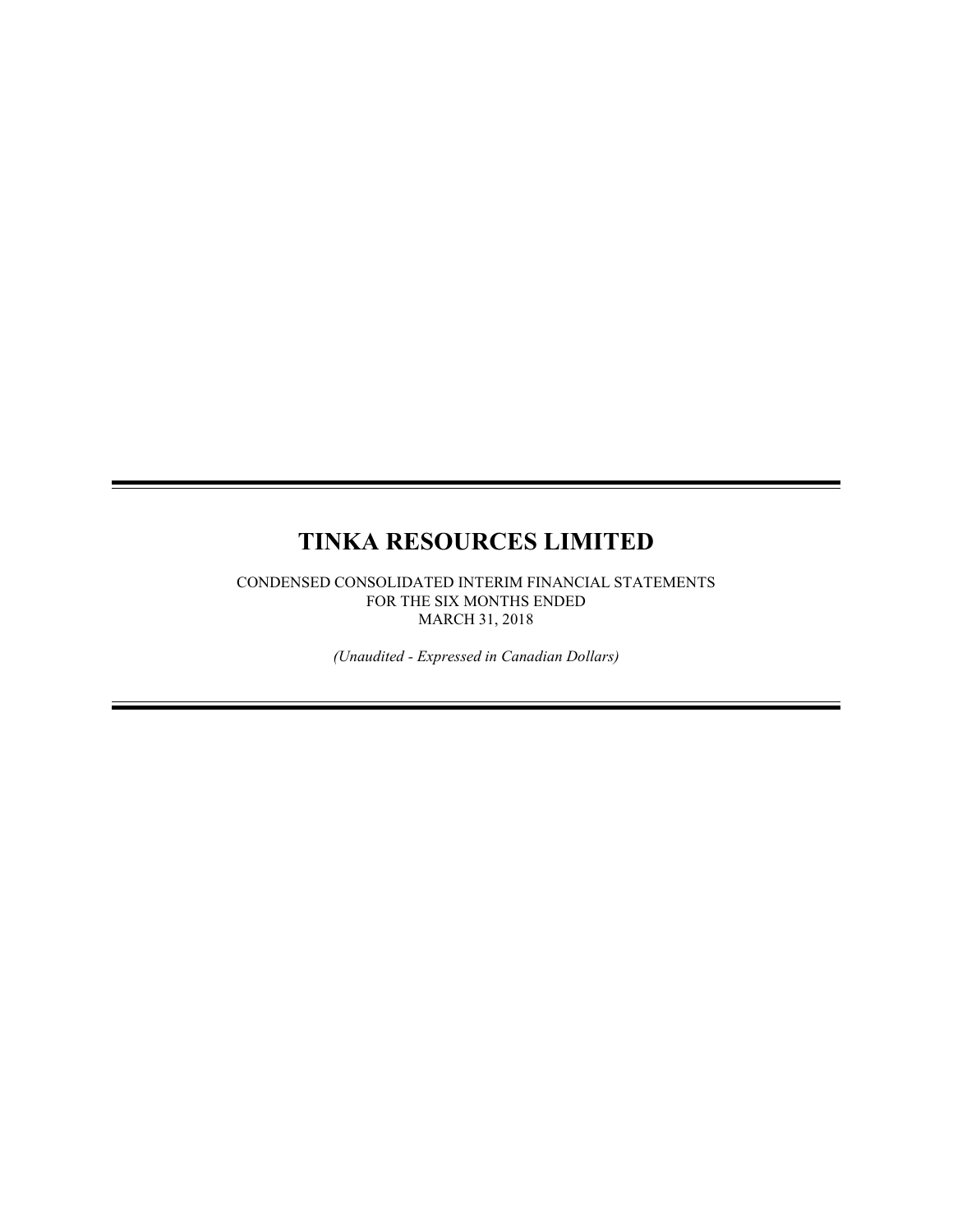# **TINKA RESOURCES LIMITED**

CONDENSED CONSOLIDATED INTERIM FINANCIAL STATEMENTS FOR THE SIX MONTHS ENDED MARCH 31, 2018

*(Unaudited - Expressed in Canadian Dollars)*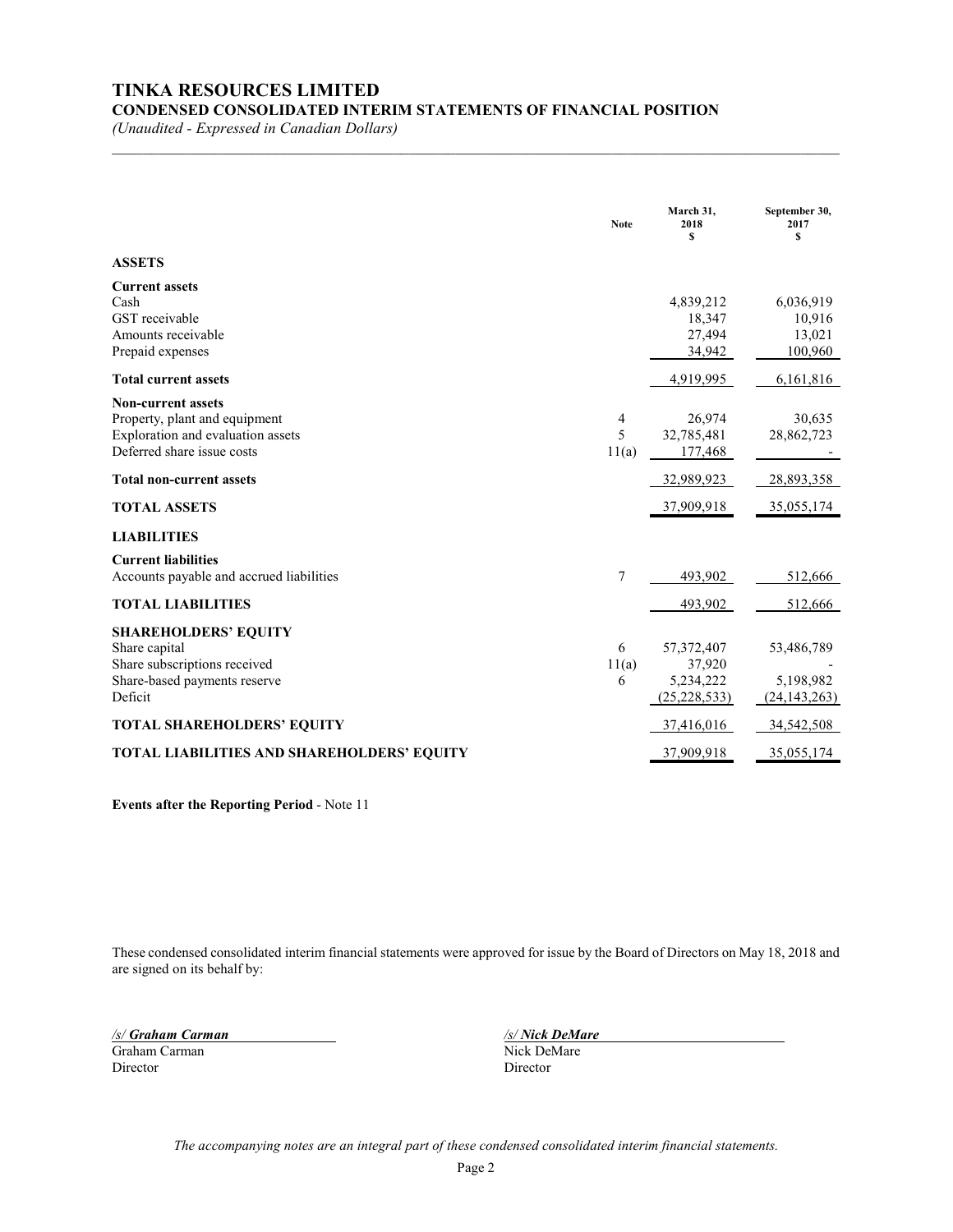# **TINKA RESOURCES LIMITED**

**CONDENSED CONSOLIDATED INTERIM STATEMENTS OF FINANCIAL POSITION**

*(Unaudited - Expressed in Canadian Dollars)*

|                                                                                                                               | <b>Note</b>     | March 31,<br>2018<br>S                              | September 30,<br>2017<br>s                |
|-------------------------------------------------------------------------------------------------------------------------------|-----------------|-----------------------------------------------------|-------------------------------------------|
| <b>ASSETS</b>                                                                                                                 |                 |                                                     |                                           |
| <b>Current assets</b><br>Cash<br>GST receivable<br>Amounts receivable<br>Prepaid expenses                                     |                 | 4,839,212<br>18,347<br>27,494<br>34,942             | 6,036,919<br>10,916<br>13,021<br>100,960  |
| <b>Total current assets</b>                                                                                                   |                 | 4,919,995                                           | 6,161,816                                 |
| <b>Non-current assets</b><br>Property, plant and equipment<br>Exploration and evaluation assets<br>Deferred share issue costs | 4<br>5<br>11(a) | 26,974<br>32,785,481<br>177,468                     | 30,635<br>28,862,723                      |
| <b>Total non-current assets</b>                                                                                               |                 | 32,989,923                                          | 28,893,358                                |
| <b>TOTAL ASSETS</b>                                                                                                           |                 | 37,909,918                                          | 35,055,174                                |
| <b>LIABILITIES</b>                                                                                                            |                 |                                                     |                                           |
| <b>Current liabilities</b><br>Accounts payable and accrued liabilities                                                        | $\tau$          | 493,902                                             | 512,666                                   |
| <b>TOTAL LIABILITIES</b>                                                                                                      |                 | 493,902                                             | 512,666                                   |
| <b>SHAREHOLDERS' EQUITY</b><br>Share capital<br>Share subscriptions received<br>Share-based payments reserve<br>Deficit       | 6<br>11(a)<br>6 | 57,372,407<br>37,920<br>5,234,222<br>(25, 228, 533) | 53,486,789<br>5,198,982<br>(24, 143, 263) |
| TOTAL SHAREHOLDERS' EQUITY                                                                                                    |                 | 37,416,016                                          | 34,542,508                                |
| TOTAL LIABILITIES AND SHAREHOLDERS' EQUITY                                                                                    |                 | 37,909,918                                          | 35,055,174                                |

 $\mathcal{L}_\mathcal{L} = \{ \mathcal{L}_\mathcal{L} = \{ \mathcal{L}_\mathcal{L} = \{ \mathcal{L}_\mathcal{L} = \{ \mathcal{L}_\mathcal{L} = \{ \mathcal{L}_\mathcal{L} = \{ \mathcal{L}_\mathcal{L} = \{ \mathcal{L}_\mathcal{L} = \{ \mathcal{L}_\mathcal{L} = \{ \mathcal{L}_\mathcal{L} = \{ \mathcal{L}_\mathcal{L} = \{ \mathcal{L}_\mathcal{L} = \{ \mathcal{L}_\mathcal{L} = \{ \mathcal{L}_\mathcal{L} = \{ \mathcal{L}_\mathcal{$ 

**Events after the Reporting Period** - Note 11

These condensed consolidated interim financial statements were approved for issue by the Board of Directors on May 18, 2018 and are signed on its behalf by:

Graham Carman Director Director

*/s/ Graham Carman /s/ Nick DeMare*

*The accompanying notes are an integral part of these condensed consolidated interim financial statements.*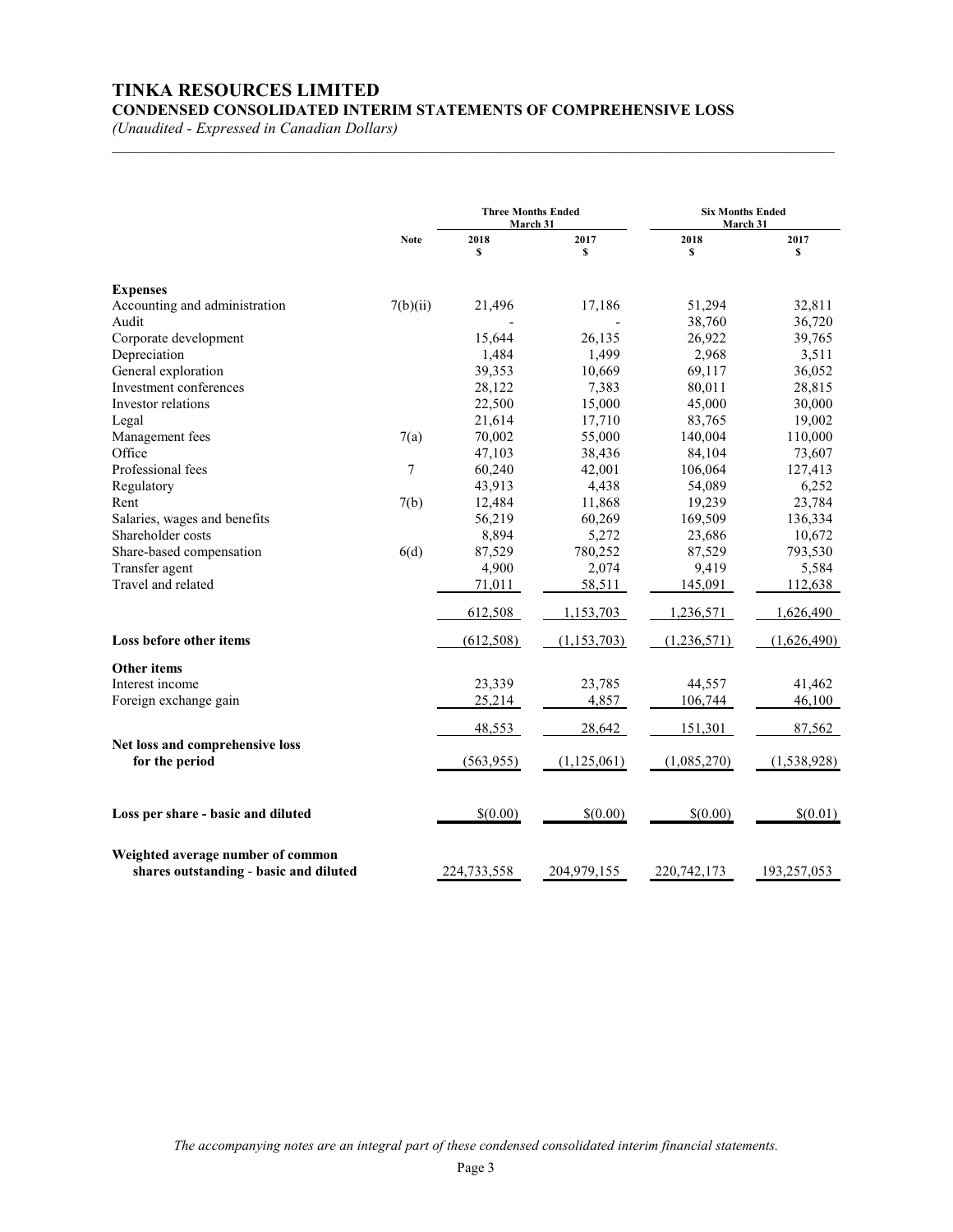# **TINKA RESOURCES LIMITED**

**CONDENSED CONSOLIDATED INTERIM STATEMENTS OF COMPREHENSIVE LOSS**

 $\mathcal{L}_\text{max} = \mathcal{L}_\text{max} = \mathcal{L}_\text{max} = \mathcal{L}_\text{max} = \mathcal{L}_\text{max} = \mathcal{L}_\text{max} = \mathcal{L}_\text{max} = \mathcal{L}_\text{max} = \mathcal{L}_\text{max} = \mathcal{L}_\text{max} = \mathcal{L}_\text{max} = \mathcal{L}_\text{max} = \mathcal{L}_\text{max} = \mathcal{L}_\text{max} = \mathcal{L}_\text{max} = \mathcal{L}_\text{max} = \mathcal{L}_\text{max} = \mathcal{L}_\text{max} = \mathcal{$ 

*(Unaudited - Expressed in Canadian Dollars)*

|                                                                             |             | <b>Three Months Ended</b><br>March 31 |               | <b>Six Months Ended</b><br>March 31 |             |
|-----------------------------------------------------------------------------|-------------|---------------------------------------|---------------|-------------------------------------|-------------|
|                                                                             | <b>Note</b> | 2018<br>S                             | 2017<br>\$    | 2018<br>\$                          | 2017<br>\$  |
| <b>Expenses</b>                                                             |             |                                       |               |                                     |             |
| Accounting and administration                                               | 7(b)(ii)    | 21,496                                | 17,186        | 51,294                              | 32,811      |
| Audit                                                                       |             |                                       |               | 38,760                              | 36,720      |
| Corporate development                                                       |             | 15,644                                | 26,135        | 26,922                              | 39,765      |
| Depreciation                                                                |             | 1,484                                 | 1,499         | 2,968                               | 3,511       |
| General exploration                                                         |             | 39,353                                | 10,669        | 69,117                              | 36,052      |
| Investment conferences                                                      |             | 28,122                                | 7,383         | 80,011                              | 28,815      |
| Investor relations                                                          |             | 22,500                                | 15,000        | 45,000                              | 30,000      |
| Legal                                                                       |             | 21,614                                | 17,710        | 83,765                              | 19,002      |
| Management fees                                                             | 7(a)        | 70,002                                | 55,000        | 140,004                             | 110,000     |
| Office                                                                      |             | 47,103                                | 38,436        | 84,104                              | 73,607      |
| Professional fees                                                           | 7           | 60,240                                | 42,001        | 106,064                             | 127,413     |
| Regulatory                                                                  |             | 43,913                                | 4,438         | 54,089                              | 6,252       |
| Rent                                                                        | 7(b)        | 12,484                                | 11,868        | 19,239                              | 23,784      |
| Salaries, wages and benefits                                                |             | 56,219                                | 60,269        | 169,509                             | 136,334     |
| Shareholder costs                                                           |             | 8,894                                 | 5,272         | 23,686                              | 10,672      |
| Share-based compensation                                                    | 6(d)        | 87,529                                | 780,252       | 87,529                              | 793,530     |
| Transfer agent                                                              |             | 4,900                                 | 2,074         | 9,419                               | 5,584       |
| Travel and related                                                          |             | 71,011                                | 58,511        | 145,091                             | 112,638     |
|                                                                             |             | 612,508                               | 1,153,703     | 1,236,571                           | 1,626,490   |
| Loss before other items                                                     |             | (612,508)                             | (1, 153, 703) | (1,236,571)                         | (1,626,490) |
| <b>Other items</b>                                                          |             |                                       |               |                                     |             |
| Interest income                                                             |             | 23,339                                | 23,785        | 44,557                              | 41,462      |
| Foreign exchange gain                                                       |             | 25,214                                | 4,857         | 106,744                             | 46,100      |
|                                                                             |             | 48,553                                | 28,642        | 151,301                             | 87,562      |
| Net loss and comprehensive loss                                             |             |                                       |               |                                     |             |
| for the period                                                              |             | (563, 955)                            | (1,125,061)   | (1,085,270)                         | (1,538,928) |
| Loss per share - basic and diluted                                          |             | \$(0.00)                              | \$(0.00)      | \$(0.00)                            | \$(0.01)    |
| Weighted average number of common<br>shares outstanding - basic and diluted |             | 224,733,558                           | 204,979,155   | 220, 742, 173                       | 193,257,053 |

*The accompanying notes are an integral part of these condensed consolidated interim financial statements.*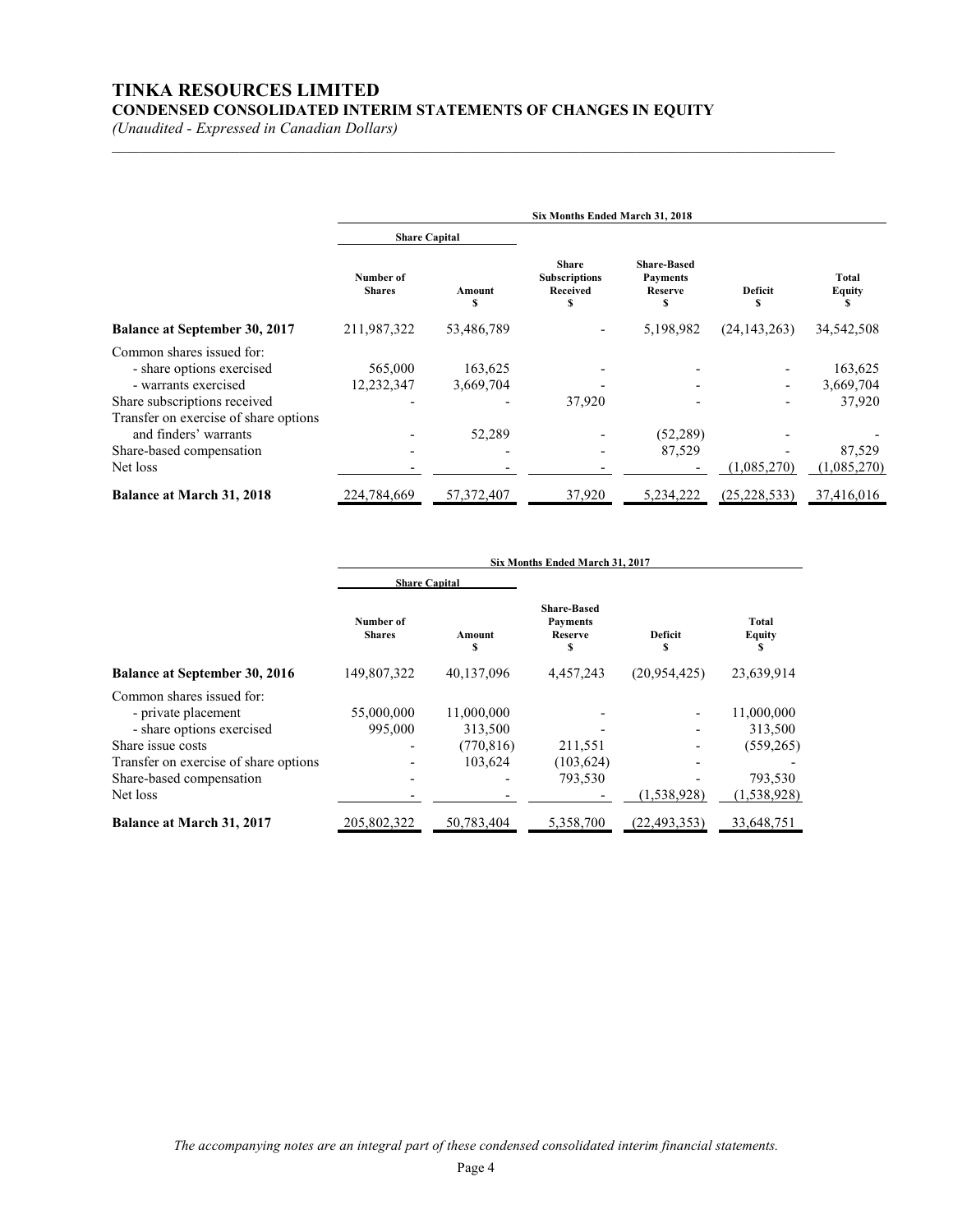# **TINKA RESOURCES LIMITED CONDENSED CONSOLIDATED INTERIM STATEMENTS OF CHANGES IN EQUITY**

*(Unaudited - Expressed in Canadian Dollars)*

|                                       | Six Months Ended March 31, 2018 |              |                                                              |                                                              |                     |                        |
|---------------------------------------|---------------------------------|--------------|--------------------------------------------------------------|--------------------------------------------------------------|---------------------|------------------------|
|                                       | <b>Share Capital</b>            |              |                                                              |                                                              |                     |                        |
|                                       | Number of<br><b>Shares</b>      | Amount<br>S  | <b>Share</b><br><b>Subscriptions</b><br><b>Received</b><br>S | <b>Share-Based</b><br><b>Payments</b><br><b>Reserve</b><br>S | <b>Deficit</b><br>S | Total<br><b>Equity</b> |
| <b>Balance at September 30, 2017</b>  | 211,987,322                     | 53,486,789   |                                                              | 5,198,982                                                    | (24, 143, 263)      | 34,542,508             |
| Common shares issued for:             |                                 |              |                                                              |                                                              |                     |                        |
| - share options exercised             | 565,000                         | 163,625      |                                                              |                                                              |                     | 163,625                |
| - warrants exercised                  | 12,232,347                      | 3,669,704    |                                                              |                                                              |                     | 3,669,704              |
| Share subscriptions received          |                                 |              | 37,920                                                       |                                                              |                     | 37,920                 |
| Transfer on exercise of share options |                                 |              |                                                              |                                                              |                     |                        |
| and finders' warrants                 |                                 | 52,289       |                                                              | (52, 289)                                                    |                     |                        |
| Share-based compensation              |                                 |              |                                                              | 87,529                                                       |                     | 87,529                 |
| Net loss                              |                                 |              |                                                              |                                                              | (1,085,270)         | (1,085,270)            |
| Balance at March 31, 2018             | 224,784,669                     | 57, 372, 407 | 37,920                                                       | 5,234,222                                                    | (25, 228, 533)      | 37,416,016             |

 $\mathcal{L}_\text{max} = \mathcal{L}_\text{max} = \mathcal{L}_\text{max} = \mathcal{L}_\text{max} = \mathcal{L}_\text{max} = \mathcal{L}_\text{max} = \mathcal{L}_\text{max} = \mathcal{L}_\text{max} = \mathcal{L}_\text{max} = \mathcal{L}_\text{max} = \mathcal{L}_\text{max} = \mathcal{L}_\text{max} = \mathcal{L}_\text{max} = \mathcal{L}_\text{max} = \mathcal{L}_\text{max} = \mathcal{L}_\text{max} = \mathcal{L}_\text{max} = \mathcal{L}_\text{max} = \mathcal{$ 

|                                       | Six Months Ended March 31, 2017 |              |                                                               |                     |                             |
|---------------------------------------|---------------------------------|--------------|---------------------------------------------------------------|---------------------|-----------------------------|
|                                       | <b>Share Capital</b>            |              |                                                               |                     |                             |
|                                       | Number of<br><b>Shares</b>      | Amount<br>\$ | <b>Share-Based</b><br><b>Payments</b><br><b>Reserve</b><br>\$ | <b>Deficit</b><br>S | Total<br><b>Equity</b><br>s |
| <b>Balance at September 30, 2016</b>  | 149,807,322                     | 40,137,096   | 4,457,243                                                     | (20.954, 425)       | 23,639,914                  |
| Common shares issued for:             |                                 |              |                                                               |                     |                             |
| - private placement                   | 55,000,000                      | 11,000,000   |                                                               |                     | 11,000,000                  |
| - share options exercised             | 995,000                         | 313,500      |                                                               |                     | 313,500                     |
| Share issue costs                     |                                 | (770, 816)   | 211,551                                                       |                     | (559, 265)                  |
| Transfer on exercise of share options |                                 | 103.624      | (103, 624)                                                    |                     |                             |
| Share-based compensation              |                                 |              | 793,530                                                       |                     | 793,530                     |
| Net loss                              |                                 |              |                                                               | (1,538,928)         | (1,538,928)                 |
| <b>Balance at March 31, 2017</b>      | 205,802,322                     | 50,783,404   | 5,358,700                                                     | (22, 493, 353)      | 33,648,751                  |

*The accompanying notes are an integral part of these condensed consolidated interim financial statements.*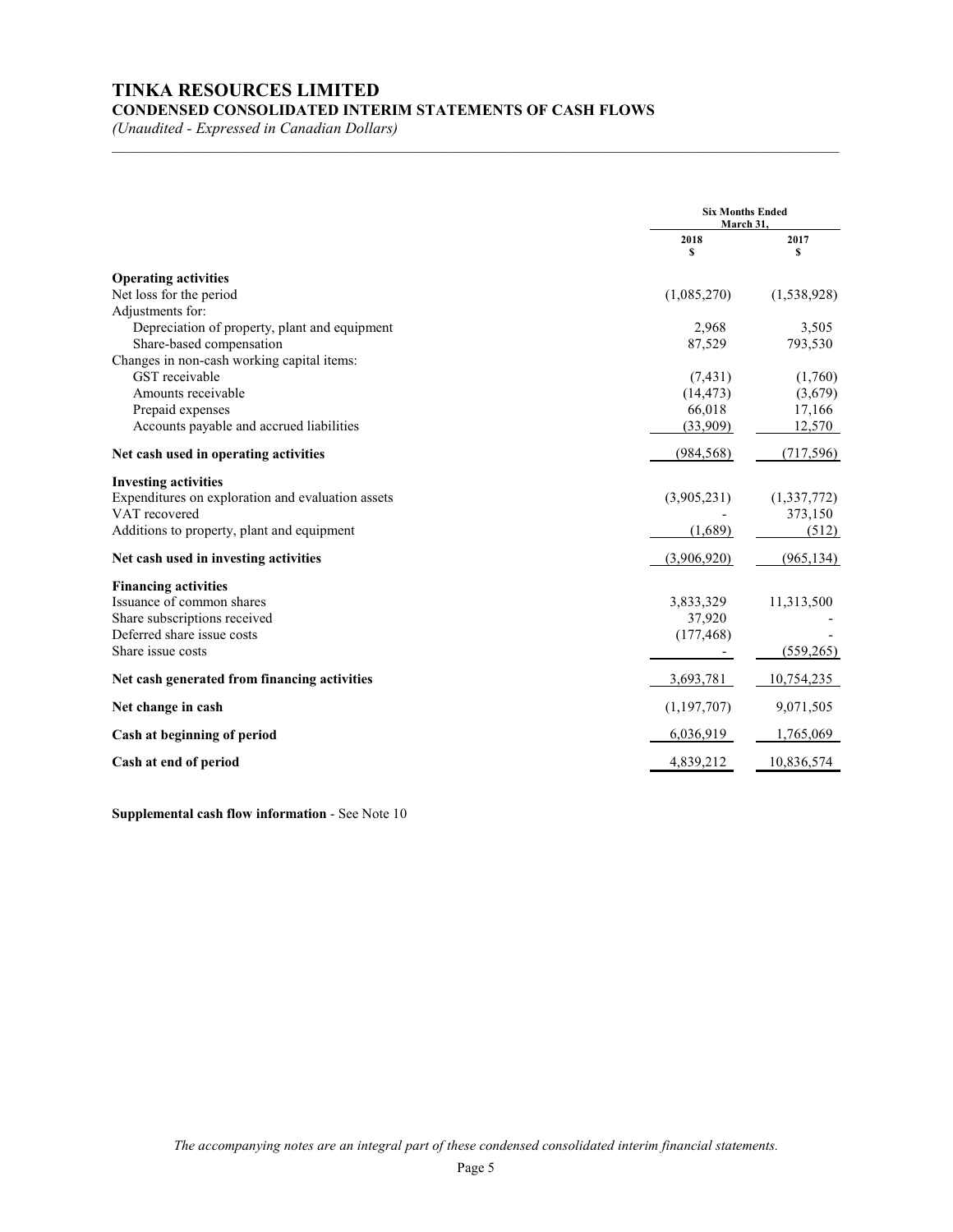# **TINKA RESOURCES LIMITED CONDENSED CONSOLIDATED INTERIM STATEMENTS OF CASH FLOWS**

*(Unaudited - Expressed in Canadian Dollars)*

|                                                   | <b>Six Months Ended</b><br>March 31 |             |
|---------------------------------------------------|-------------------------------------|-------------|
|                                                   | 2018<br>\$                          | 2017<br>s   |
| <b>Operating activities</b>                       |                                     |             |
| Net loss for the period                           | (1,085,270)                         | (1,538,928) |
| Adjustments for:                                  |                                     |             |
| Depreciation of property, plant and equipment     | 2,968                               | 3,505       |
| Share-based compensation                          | 87,529                              | 793,530     |
| Changes in non-cash working capital items:        |                                     |             |
| GST receivable                                    | (7, 431)                            | (1,760)     |
| Amounts receivable                                | (14, 473)                           | (3,679)     |
| Prepaid expenses                                  | 66,018                              | 17,166      |
| Accounts payable and accrued liabilities          | (33,909)                            | 12,570      |
| Net cash used in operating activities             | (984, 568)                          | (717, 596)  |
| <b>Investing activities</b>                       |                                     |             |
| Expenditures on exploration and evaluation assets | (3,905,231)                         | (1,337,772) |
| VAT recovered                                     |                                     | 373,150     |
| Additions to property, plant and equipment        | (1,689)                             | (512)       |
| Net cash used in investing activities             | (3,906,920)                         | (965, 134)  |
| <b>Financing activities</b>                       |                                     |             |
| Issuance of common shares                         | 3,833,329                           | 11,313,500  |
| Share subscriptions received                      | 37,920                              |             |
| Deferred share issue costs                        | (177, 468)                          |             |
| Share issue costs                                 |                                     | (559, 265)  |
| Net cash generated from financing activities      | 3,693,781                           | 10,754,235  |
| Net change in cash                                | (1,197,707)                         | 9,071,505   |
| Cash at beginning of period                       | 6,036,919                           | 1,765,069   |
| Cash at end of period                             | 4,839,212                           | 10,836,574  |

\_\_\_\_\_\_\_\_\_\_\_\_\_\_\_\_\_\_\_\_\_\_\_\_\_\_\_\_\_\_\_\_\_\_\_\_\_\_\_\_\_\_\_\_\_\_\_\_\_\_\_\_\_\_\_\_\_\_\_\_\_\_\_\_\_\_\_\_\_\_\_\_\_\_\_\_\_\_\_\_\_\_\_\_\_\_\_\_\_\_\_\_\_\_\_\_\_\_\_\_\_\_\_

**Supplemental cash flow information** - See Note 10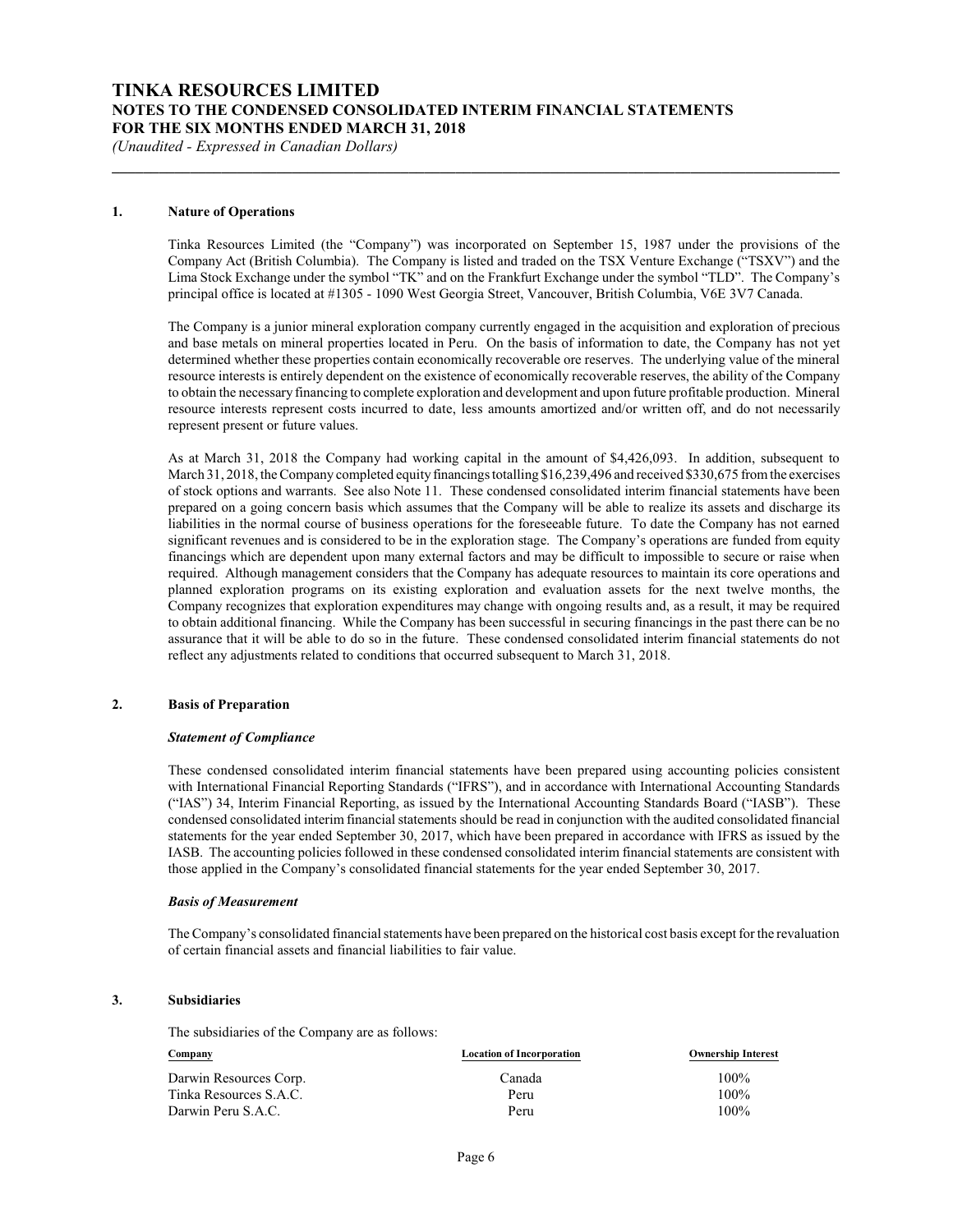*(Unaudited - Expressed in Canadian Dollars)*

#### **1. Nature of Operations**

Tinka Resources Limited (the "Company") was incorporated on September 15, 1987 under the provisions of the Company Act (British Columbia). The Company is listed and traded on the TSX Venture Exchange ("TSXV") and the Lima Stock Exchange under the symbol "TK" and on the Frankfurt Exchange under the symbol "TLD". The Company's principal office is located at #1305 - 1090 West Georgia Street, Vancouver, British Columbia, V6E 3V7 Canada.

**\_\_\_\_\_\_\_\_\_\_\_\_\_\_\_\_\_\_\_\_\_\_\_\_\_\_\_\_\_\_\_\_\_\_\_\_\_\_\_\_\_\_\_\_\_\_\_\_\_\_\_\_\_\_\_\_\_\_\_\_\_\_\_\_\_\_\_\_\_\_\_\_\_\_\_\_\_\_\_\_\_\_\_\_\_\_\_\_\_\_\_\_\_**

The Company is a junior mineral exploration company currently engaged in the acquisition and exploration of precious and base metals on mineral properties located in Peru. On the basis of information to date, the Company has not yet determined whether these properties contain economically recoverable ore reserves. The underlying value of the mineral resource interests is entirely dependent on the existence of economically recoverable reserves, the ability of the Company to obtain the necessary financing to complete exploration and development and upon future profitable production. Mineral resource interests represent costs incurred to date, less amounts amortized and/or written off, and do not necessarily represent present or future values.

As at March 31, 2018 the Company had working capital in the amount of \$4,426,093. In addition, subsequent to March 31, 2018, the Company completed equity financings totalling \$16,239,496 and received \$330,675 from the exercises of stock options and warrants. See also Note 11. These condensed consolidated interim financial statements have been prepared on a going concern basis which assumes that the Company will be able to realize its assets and discharge its liabilities in the normal course of business operations for the foreseeable future. To date the Company has not earned significant revenues and is considered to be in the exploration stage. The Company's operations are funded from equity financings which are dependent upon many external factors and may be difficult to impossible to secure or raise when required. Although management considers that the Company has adequate resources to maintain its core operations and planned exploration programs on its existing exploration and evaluation assets for the next twelve months, the Company recognizes that exploration expenditures may change with ongoing results and, as a result, it may be required to obtain additional financing. While the Company has been successful in securing financings in the past there can be no assurance that it will be able to do so in the future. These condensed consolidated interim financial statements do not reflect any adjustments related to conditions that occurred subsequent to March 31, 2018.

#### **2. Basis of Preparation**

#### *Statement of Compliance*

These condensed consolidated interim financial statements have been prepared using accounting policies consistent with International Financial Reporting Standards ("IFRS"), and in accordance with International Accounting Standards ("IAS") 34, Interim Financial Reporting, as issued by the International Accounting Standards Board ("IASB"). These condensed consolidated interim financial statements should be read in conjunction with the audited consolidated financial statements for the year ended September 30, 2017, which have been prepared in accordance with IFRS as issued by the IASB. The accounting policies followed in these condensed consolidated interim financial statements are consistent with those applied in the Company's consolidated financial statements for the year ended September 30, 2017.

#### *Basis of Measurement*

The Company's consolidated financial statements have been prepared on the historical cost basis except for the revaluation of certain financial assets and financial liabilities to fair value.

#### **3. Subsidiaries**

The subsidiaries of the Company are as follows:

| Company                | <b>Location of Incorporation</b> | <b>Ownership Interest</b> |
|------------------------|----------------------------------|---------------------------|
| Darwin Resources Corp. | Canada                           | $100\%$                   |
| Tinka Resources S.A.C. | Peru                             | $100\%$                   |
| Darwin Peru S.A.C.     | Peru                             | $100\%$                   |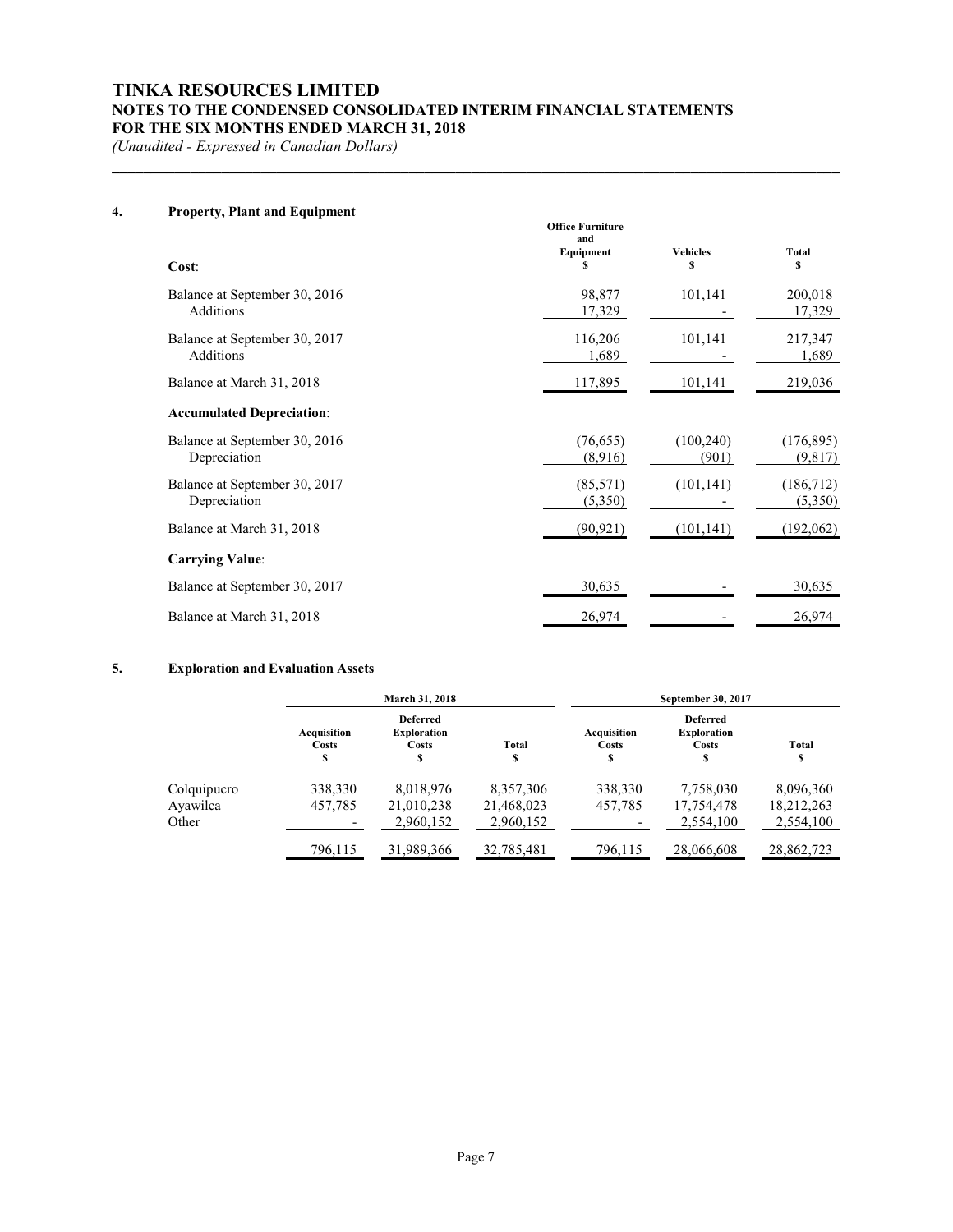**\_\_\_\_\_\_\_\_\_\_\_\_\_\_\_\_\_\_\_\_\_\_\_\_\_\_\_\_\_\_\_\_\_\_\_\_\_\_\_\_\_\_\_\_\_\_\_\_\_\_\_\_\_\_\_\_\_\_\_\_\_\_\_\_\_\_\_\_\_\_\_\_\_\_\_\_\_\_\_\_\_\_\_\_\_\_\_\_\_\_\_\_\_**

*(Unaudited - Expressed in Canadian Dollars)*

## **4. Property, Plant and Equipment**

| Cost:                                         | <b>Office Furniture</b><br>and<br>Equipment | <b>Vehicles</b><br>S | <b>Total</b><br>S     |
|-----------------------------------------------|---------------------------------------------|----------------------|-----------------------|
| Balance at September 30, 2016<br>Additions    | 98,877<br>17,329                            | 101,141              | 200,018<br>17,329     |
| Balance at September 30, 2017<br>Additions    | 116,206<br>1,689                            | 101,141              | 217,347<br>1,689      |
| Balance at March 31, 2018                     | 117,895                                     | 101,141              | 219,036               |
| <b>Accumulated Depreciation:</b>              |                                             |                      |                       |
| Balance at September 30, 2016<br>Depreciation | (76, 655)<br>(8,916)                        | (100, 240)<br>(901)  | (176, 895)<br>(9,817) |
| Balance at September 30, 2017<br>Depreciation | (85, 571)<br>(5,350)                        | (101, 141)           | (186, 712)<br>(5,350) |
| Balance at March 31, 2018                     | (90, 921)                                   | (101, 141)           | (192,062)             |
| <b>Carrying Value:</b>                        |                                             |                      |                       |
| Balance at September 30, 2017                 | 30,635                                      |                      | 30,635                |
| Balance at March 31, 2018                     | 26,974                                      |                      | 26,974                |

# **5. Exploration and Evaluation Assets**

|             | March 31, 2018            |                                                     | September 30, 2017 |                      |                                                            |                    |
|-------------|---------------------------|-----------------------------------------------------|--------------------|----------------------|------------------------------------------------------------|--------------------|
|             | Acquisition<br>Costs<br>S | <b>Deferred</b><br><b>Exploration</b><br>Costs<br>s | Total<br>\$        | Acquisition<br>Costs | <b>Deferred</b><br><b>Exploration</b><br><b>Costs</b><br>S | <b>Total</b><br>\$ |
| Colquipucro | 338,330                   | 8,018,976                                           | 8,357,306          | 338,330              | 7,758,030                                                  | 8,096,360          |
| Ayawilca    | 457,785                   | 21,010,238                                          | 21,468,023         | 457,785              | 17,754,478                                                 | 18,212,263         |
| Other       |                           | 2.960.152                                           | 2,960,152          |                      | 2.554.100                                                  | 2,554,100          |
|             | 796,115                   | 31,989,366                                          | 32,785,481         | 796,115              | 28,066,608                                                 | 28,862,723         |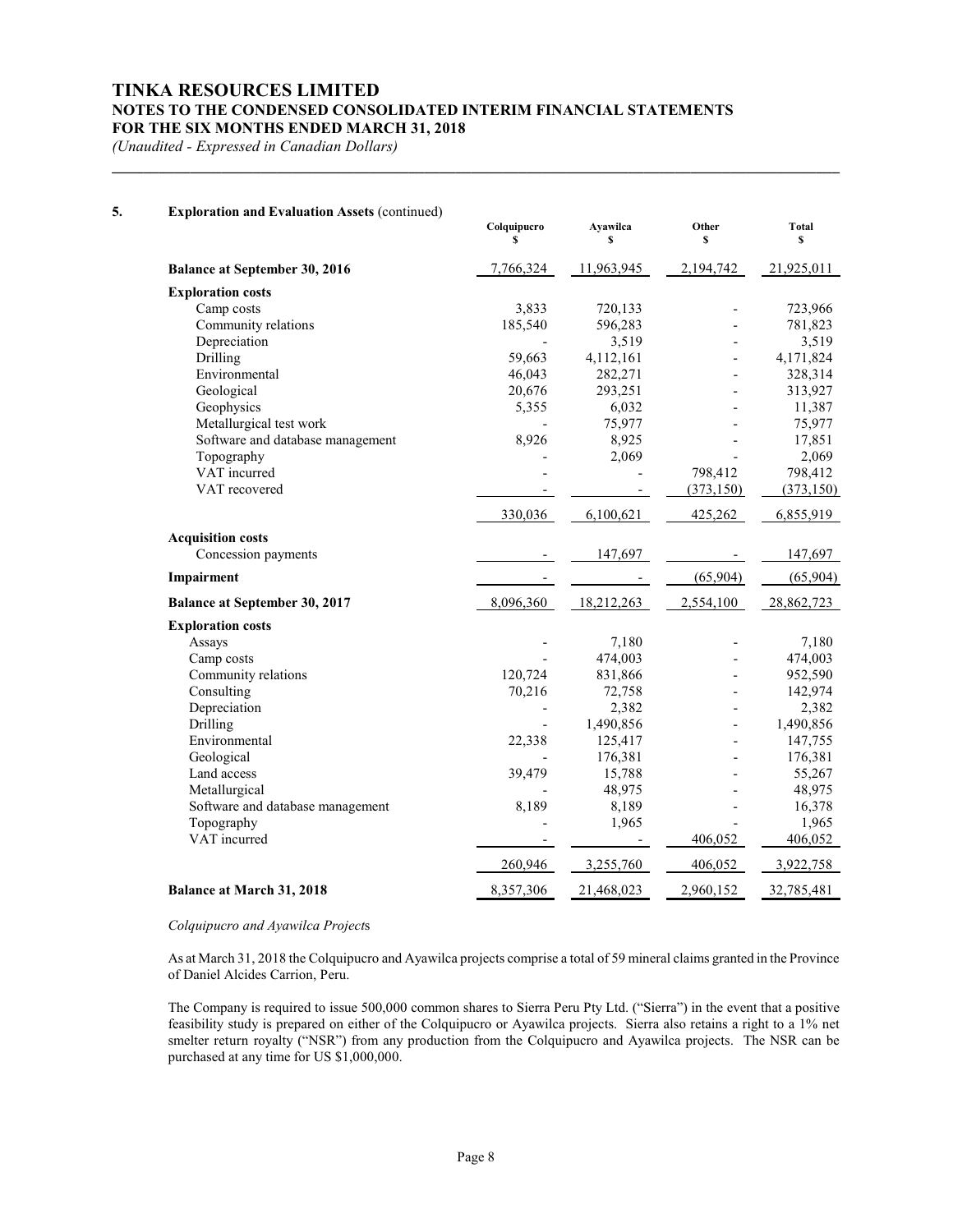**\_\_\_\_\_\_\_\_\_\_\_\_\_\_\_\_\_\_\_\_\_\_\_\_\_\_\_\_\_\_\_\_\_\_\_\_\_\_\_\_\_\_\_\_\_\_\_\_\_\_\_\_\_\_\_\_\_\_\_\_\_\_\_\_\_\_\_\_\_\_\_\_\_\_\_\_\_\_\_\_\_\_\_\_\_\_\_\_\_\_\_\_\_**

*(Unaudited - Expressed in Canadian Dollars)*

| 5. | <b>Exploration and Evaluation Assets (continued)</b> | Colquipucro<br>S | Ayawilca<br>\$ | Other<br>\$ | <b>Total</b><br>\$ |
|----|------------------------------------------------------|------------------|----------------|-------------|--------------------|
|    | <b>Balance at September 30, 2016</b>                 | 7,766,324        | 11,963,945     | 2,194,742   | 21,925,011         |
|    | <b>Exploration costs</b>                             |                  |                |             |                    |
|    | Camp costs                                           | 3,833            | 720,133        |             | 723,966            |
|    | Community relations                                  | 185,540          | 596,283        |             | 781,823            |
|    | Depreciation                                         |                  | 3,519          |             | 3,519              |
|    | Drilling                                             | 59,663           | 4,112,161      |             | 4,171,824          |
|    | Environmental                                        | 46,043           | 282,271        |             | 328,314            |
|    | Geological                                           | 20,676           | 293,251        |             | 313,927            |
|    | Geophysics                                           | 5,355            | 6,032          |             | 11,387             |
|    | Metallurgical test work                              |                  | 75,977         |             | 75,977             |
|    | Software and database management                     | 8,926            | 8,925          |             | 17,851             |
|    | Topography                                           |                  | 2,069          |             | 2,069              |
|    | VAT incurred                                         |                  |                | 798,412     | 798,412            |
|    | VAT recovered                                        |                  |                | (373, 150)  | (373, 150)         |
|    |                                                      | 330,036          | 6,100,621      | 425,262     | 6,855,919          |
|    | <b>Acquisition costs</b>                             |                  |                |             |                    |
|    | Concession payments                                  |                  | 147,697        |             | 147,697            |
|    | Impairment                                           |                  |                | (65,904)    | (65, 904)          |
|    | <b>Balance at September 30, 2017</b>                 | 8,096,360        | 18,212,263     | 2,554,100   | 28,862,723         |
|    | <b>Exploration costs</b>                             |                  |                |             |                    |
|    | Assays                                               |                  | 7,180          |             | 7,180              |
|    | Camp costs                                           |                  | 474,003        |             | 474,003            |
|    | Community relations                                  | 120,724          | 831,866        |             | 952,590            |
|    | Consulting                                           | 70,216           | 72,758         |             | 142,974            |
|    | Depreciation                                         |                  | 2,382          |             | 2,382              |
|    | Drilling                                             |                  | 1,490,856      |             | 1,490,856          |
|    | Environmental                                        | 22,338           | 125,417        |             | 147,755            |
|    | Geological                                           |                  | 176,381        |             | 176,381            |
|    | Land access                                          | 39,479           | 15,788         |             | 55,267             |
|    | Metallurgical                                        |                  | 48,975         |             | 48,975             |
|    | Software and database management                     | 8,189            | 8,189          |             | 16,378             |
|    | Topography                                           |                  | 1,965          |             | 1,965              |
|    | VAT incurred                                         |                  |                | 406,052     | 406,052            |
|    |                                                      | 260,946          | 3,255,760      | 406,052     | 3,922,758          |
|    | Balance at March 31, 2018                            | 8,357,306        | 21,468,023     | 2,960,152   | 32,785,481         |

#### *Colquipucro and Ayawilca Project*s

As at March 31, 2018 the Colquipucro and Ayawilca projects comprise a total of 59 mineral claims granted in the Province of Daniel Alcides Carrion, Peru.

The Company is required to issue 500,000 common shares to Sierra Peru Pty Ltd. ("Sierra") in the event that a positive feasibility study is prepared on either of the Colquipucro or Ayawilca projects. Sierra also retains a right to a 1% net smelter return royalty ("NSR") from any production from the Colquipucro and Ayawilca projects. The NSR can be purchased at any time for US \$1,000,000.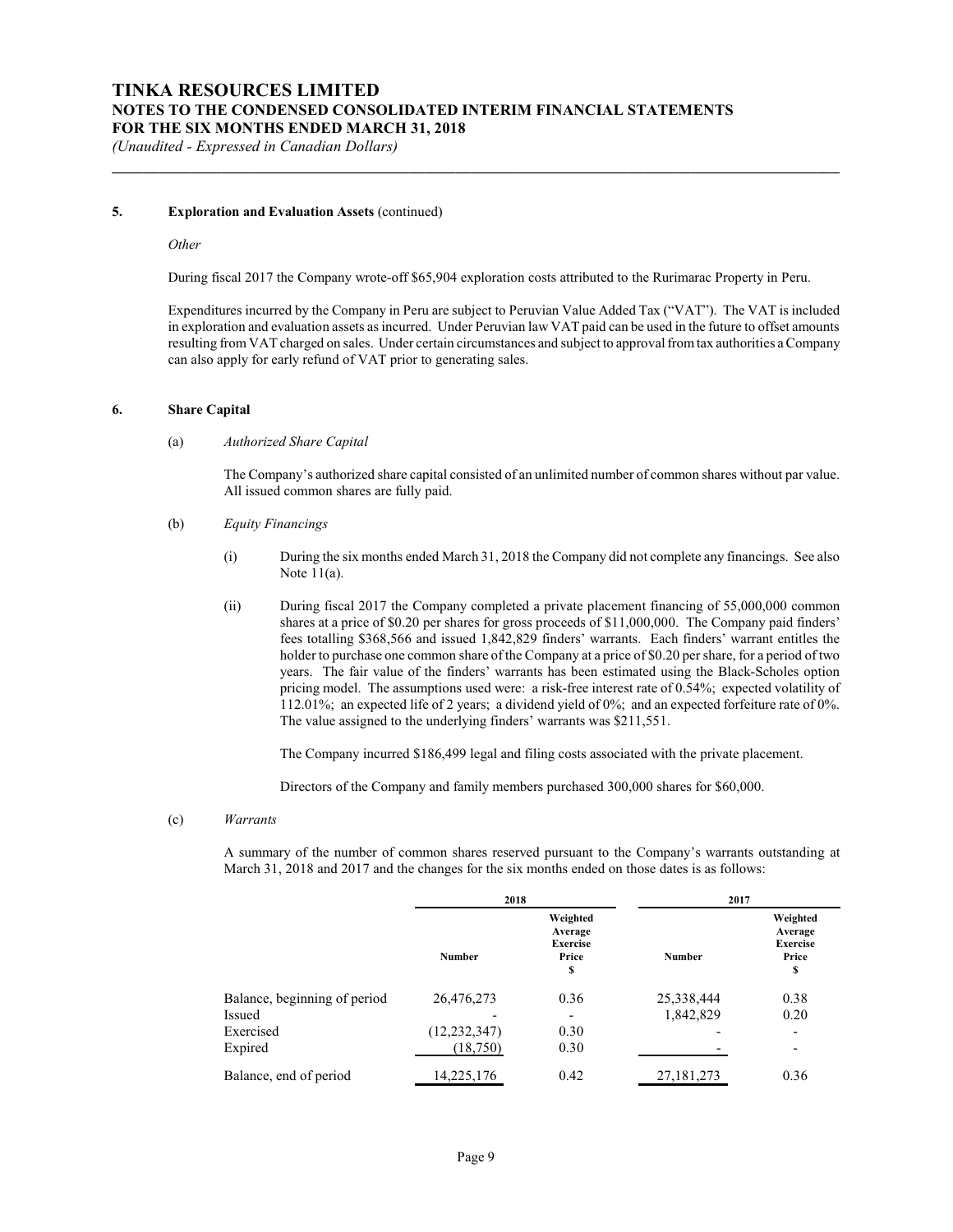*(Unaudited - Expressed in Canadian Dollars)*

#### **5. Exploration and Evaluation Assets** (continued)

*Other*

During fiscal 2017 the Company wrote-off \$65,904 exploration costs attributed to the Rurimarac Property in Peru.

**\_\_\_\_\_\_\_\_\_\_\_\_\_\_\_\_\_\_\_\_\_\_\_\_\_\_\_\_\_\_\_\_\_\_\_\_\_\_\_\_\_\_\_\_\_\_\_\_\_\_\_\_\_\_\_\_\_\_\_\_\_\_\_\_\_\_\_\_\_\_\_\_\_\_\_\_\_\_\_\_\_\_\_\_\_\_\_\_\_\_\_\_\_**

Expenditures incurred by the Company in Peru are subject to Peruvian Value Added Tax ("VAT"). The VAT is included in exploration and evaluation assets as incurred. Under Peruvian law VAT paid can be used in the future to offset amounts resulting from VAT charged on sales. Under certain circumstances and subject to approval from tax authorities a Company can also apply for early refund of VAT prior to generating sales.

#### **6. Share Capital**

#### (a) *Authorized Share Capital*

The Company's authorized share capital consisted of an unlimited number of common shares without par value. All issued common shares are fully paid.

- (b) *Equity Financings*
	- (i) During the six months ended March 31, 2018 the Company did not complete any financings. See also Note  $11(a)$ .
	- (ii) During fiscal 2017 the Company completed a private placement financing of 55,000,000 common shares at a price of \$0.20 per shares for gross proceeds of \$11,000,000. The Company paid finders' fees totalling \$368,566 and issued 1,842,829 finders' warrants. Each finders' warrant entitles the holder to purchase one common share of the Company at a price of \$0.20 per share, for a period of two years. The fair value of the finders' warrants has been estimated using the Black-Scholes option pricing model. The assumptions used were: a risk-free interest rate of 0.54%; expected volatility of 112.01%; an expected life of 2 years; a dividend yield of 0%; and an expected forfeiture rate of 0%. The value assigned to the underlying finders' warrants was \$211,551.

The Company incurred \$186,499 legal and filing costs associated with the private placement.

Directors of the Company and family members purchased 300,000 shares for \$60,000.

(c) *Warrants*

A summary of the number of common shares reserved pursuant to the Company's warrants outstanding at March 31, 2018 and 2017 and the changes for the six months ended on those dates is as follows:

|                              | 2018           |                                                       | 2017          |                                                       |  |
|------------------------------|----------------|-------------------------------------------------------|---------------|-------------------------------------------------------|--|
|                              | <b>Number</b>  | Weighted<br>Average<br><b>Exercise</b><br>Price<br>\$ | <b>Number</b> | Weighted<br>Average<br><b>Exercise</b><br>Price<br>\$ |  |
| Balance, beginning of period | 26,476,273     | 0.36                                                  | 25,338,444    | 0.38                                                  |  |
| Issued                       |                | $\qquad \qquad \blacksquare$                          | 1,842,829     | 0.20                                                  |  |
| Exercised                    | (12, 232, 347) | 0.30                                                  |               | $\overline{\phantom{a}}$                              |  |
| Expired                      | (18,750)       | 0.30                                                  |               | $\overline{\phantom{a}}$                              |  |
| Balance, end of period       | 14,225,176     | 0.42                                                  | 27, 181, 273  | 0.36                                                  |  |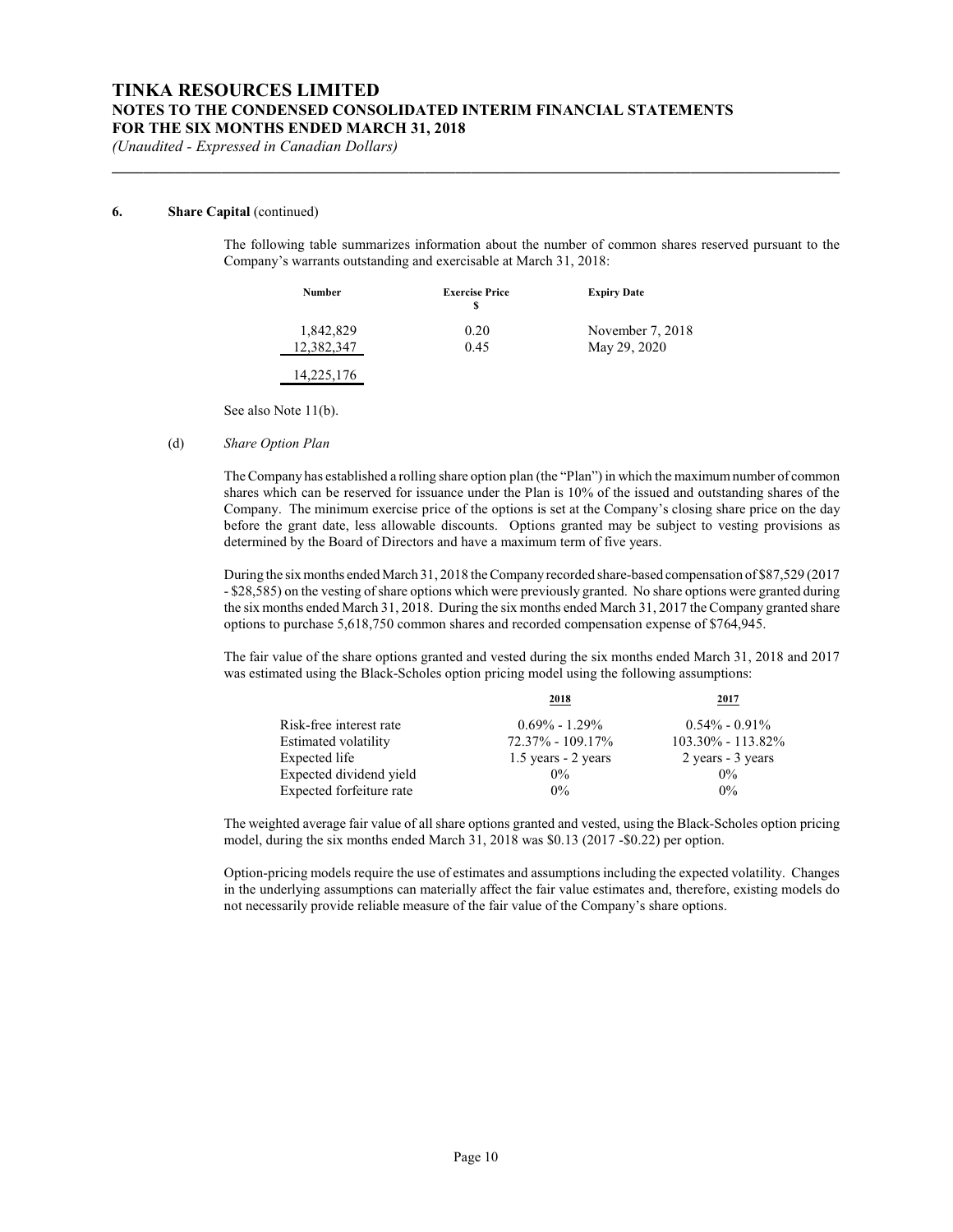*(Unaudited - Expressed in Canadian Dollars)*

#### **6. Share Capital** (continued)

The following table summarizes information about the number of common shares reserved pursuant to the Company's warrants outstanding and exercisable at March 31, 2018:

| Number     | <b>Exercise Price</b><br>S | <b>Expiry Date</b> |
|------------|----------------------------|--------------------|
| 1,842,829  | 0.20                       | November 7, 2018   |
| 12,382,347 | 0.45                       | May 29, 2020       |
| 14,225,176 |                            |                    |

**\_\_\_\_\_\_\_\_\_\_\_\_\_\_\_\_\_\_\_\_\_\_\_\_\_\_\_\_\_\_\_\_\_\_\_\_\_\_\_\_\_\_\_\_\_\_\_\_\_\_\_\_\_\_\_\_\_\_\_\_\_\_\_\_\_\_\_\_\_\_\_\_\_\_\_\_\_\_\_\_\_\_\_\_\_\_\_\_\_\_\_\_\_**

#### See also Note 11(b).

#### (d) *Share Option Plan*

The Company has established a rolling share option plan (the "Plan") in which the maximumnumber of common shares which can be reserved for issuance under the Plan is 10% of the issued and outstanding shares of the Company. The minimum exercise price of the options is set at the Company's closing share price on the day before the grant date, less allowable discounts. Options granted may be subject to vesting provisions as determined by the Board of Directors and have a maximum term of five years.

During the six months ended March 31, 2018 the Company recorded share-based compensation of \$87,529 (2017 - \$28,585) on the vesting of share options which were previously granted. No share options were granted during the six months ended March 31, 2018. During the six months ended March 31, 2017 the Company granted share options to purchase 5,618,750 common shares and recorded compensation expense of \$764,945.

The fair value of the share options granted and vested during the six months ended March 31, 2018 and 2017 was estimated using the Black-Scholes option pricing model using the following assumptions:

| 2018                   | 2017                  |
|------------------------|-----------------------|
| $0.69\% - 1.29\%$      | $0.54\% - 0.91\%$     |
| $72.37\% - 109.17\%$   | $103.30\% - 113.82\%$ |
| $1.5$ years $-2$ years | 2 years - 3 years     |
| $0\%$                  | $0\%$                 |
| $0\%$                  | $0\%$                 |
|                        |                       |

The weighted average fair value of all share options granted and vested, using the Black-Scholes option pricing model, during the six months ended March 31, 2018 was \$0.13 (2017 -\$0.22) per option.

Option-pricing models require the use of estimates and assumptions including the expected volatility. Changes in the underlying assumptions can materially affect the fair value estimates and, therefore, existing models do not necessarily provide reliable measure of the fair value of the Company's share options.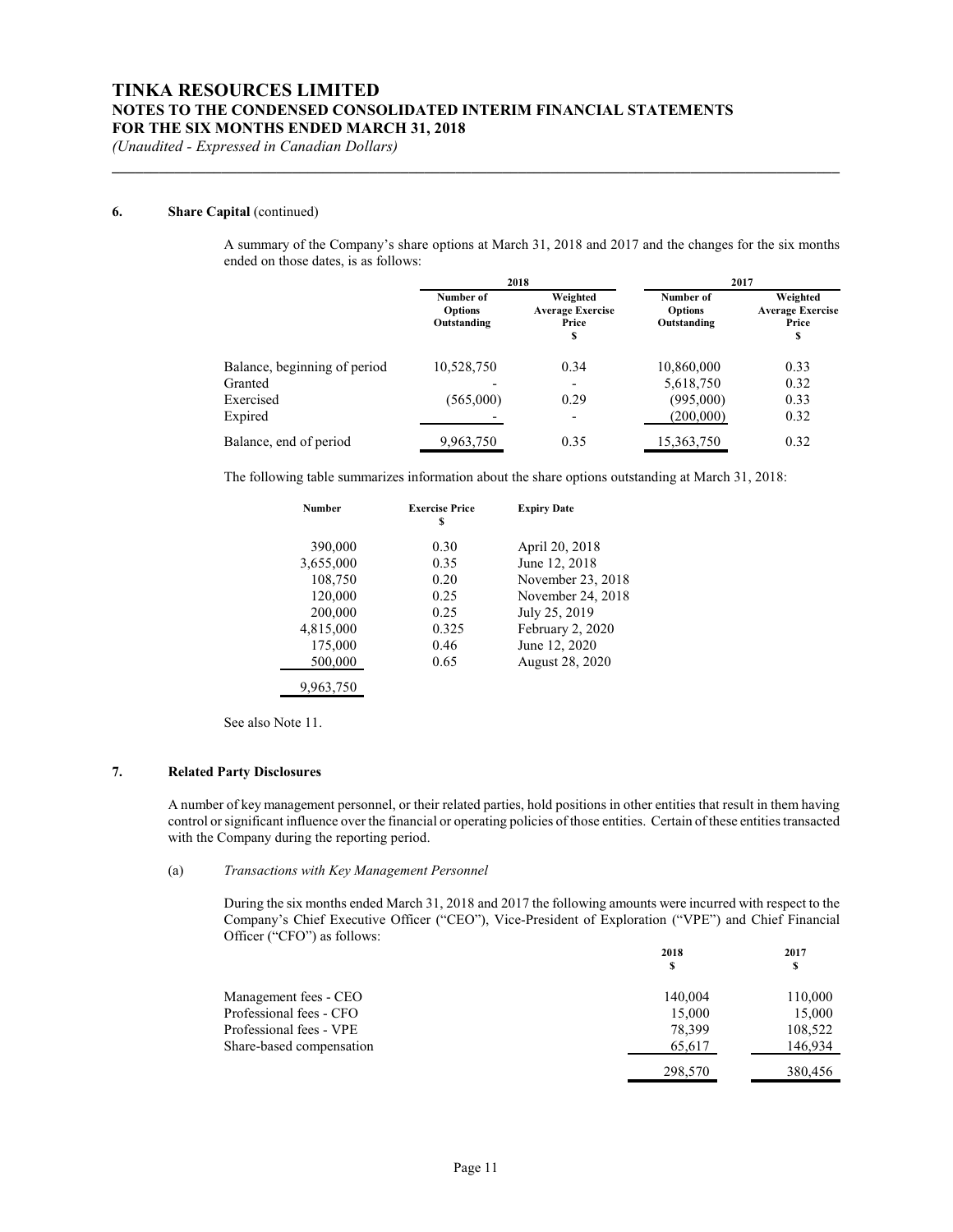**\_\_\_\_\_\_\_\_\_\_\_\_\_\_\_\_\_\_\_\_\_\_\_\_\_\_\_\_\_\_\_\_\_\_\_\_\_\_\_\_\_\_\_\_\_\_\_\_\_\_\_\_\_\_\_\_\_\_\_\_\_\_\_\_\_\_\_\_\_\_\_\_\_\_\_\_\_\_\_\_\_\_\_\_\_\_\_\_\_\_\_\_\_**

*(Unaudited - Expressed in Canadian Dollars)*

#### **6. Share Capital** (continued)

A summary of the Company's share options at March 31, 2018 and 2017 and the changes for the six months ended on those dates, is as follows:

|                              | 2018                                       |                                                    | 2017                                       |                                                    |
|------------------------------|--------------------------------------------|----------------------------------------------------|--------------------------------------------|----------------------------------------------------|
|                              | Number of<br><b>Options</b><br>Outstanding | Weighted<br><b>Average Exercise</b><br>Price<br>\$ | Number of<br><b>Options</b><br>Outstanding | Weighted<br><b>Average Exercise</b><br>Price<br>\$ |
| Balance, beginning of period | 10,528,750                                 | 0.34                                               | 10,860,000                                 | 0.33                                               |
| Granted                      |                                            | $\overline{\phantom{a}}$                           | 5,618,750                                  | 0.32                                               |
| Exercised                    | (565,000)                                  | 0.29                                               | (995,000)                                  | 0.33                                               |
| Expired                      |                                            |                                                    | (200,000)                                  | 0.32                                               |
| Balance, end of period       | 9,963,750                                  | 0.35                                               | 15,363,750                                 | 0.32                                               |

The following table summarizes information about the share options outstanding at March 31, 2018:

| <b>Number</b> | <b>Exercise Price</b><br>S | <b>Expiry Date</b>     |
|---------------|----------------------------|------------------------|
| 390,000       | 0.30                       | April 20, 2018         |
| 3,655,000     | 0.35                       | June 12, 2018          |
| 108,750       | 0.20                       | November 23, 2018      |
| 120,000       | 0.25                       | November 24, 2018      |
| 200,000       | 0.25                       | July 25, 2019          |
| 4,815,000     | 0.325                      | February 2, 2020       |
| 175,000       | 0.46                       | June 12, 2020          |
| 500,000       | 0.65                       | <b>August 28, 2020</b> |
| 9.963.750     |                            |                        |

See also Note 11.

### **7. Related Party Disclosures**

A number of key management personnel, or their related parties, hold positions in other entities that result in them having control or significant influence over the financial or operating policies of those entities. Certain of these entities transacted with the Company during the reporting period.

#### (a) *Transactions with Key Management Personnel*

During the six months ended March 31, 2018 and 2017 the following amounts were incurred with respect to the Company's Chief Executive Officer ("CEO"), Vice-President of Exploration ("VPE") and Chief Financial Officer ("CFO") as follows:

|                          | 2018    | 2017    |
|--------------------------|---------|---------|
|                          | \$      | \$      |
| Management fees - CEO    | 140,004 | 110,000 |
| Professional fees - CFO  | 15,000  | 15,000  |
| Professional fees - VPE  | 78,399  | 108,522 |
| Share-based compensation | 65,617  | 146,934 |
|                          | 298,570 | 380,456 |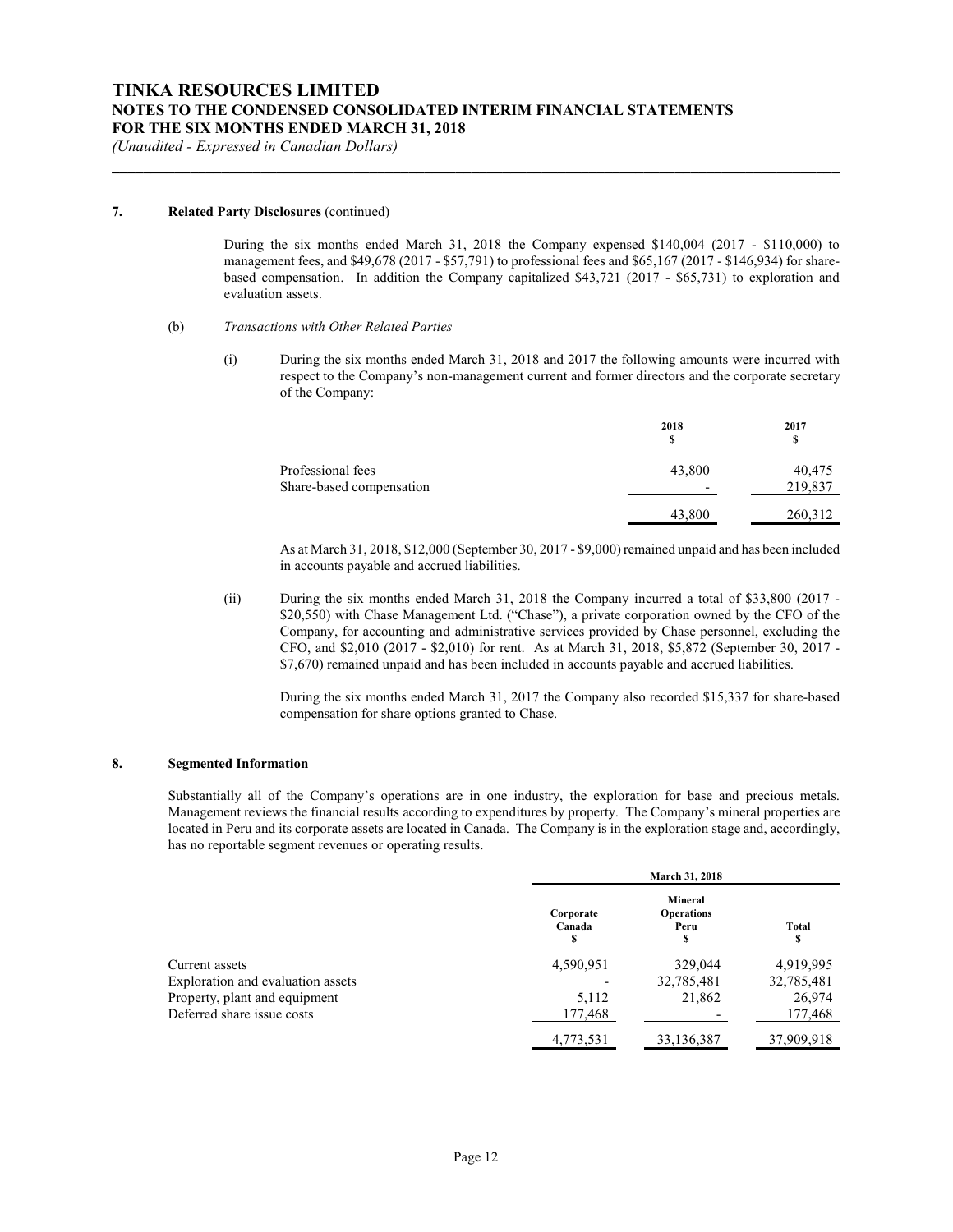**\_\_\_\_\_\_\_\_\_\_\_\_\_\_\_\_\_\_\_\_\_\_\_\_\_\_\_\_\_\_\_\_\_\_\_\_\_\_\_\_\_\_\_\_\_\_\_\_\_\_\_\_\_\_\_\_\_\_\_\_\_\_\_\_\_\_\_\_\_\_\_\_\_\_\_\_\_\_\_\_\_\_\_\_\_\_\_\_\_\_\_\_\_**

*(Unaudited - Expressed in Canadian Dollars)*

#### **7. Related Party Disclosures** (continued)

During the six months ended March 31, 2018 the Company expensed \$140,004 (2017 - \$110,000) to management fees, and \$49,678 (2017 - \$57,791) to professional fees and \$65,167 (2017 - \$146,934) for sharebased compensation. In addition the Company capitalized \$43,721 (2017 - \$65,731) to exploration and evaluation assets.

- (b) *Transactions with Other Related Parties*
	- (i) During the six months ended March 31, 2018 and 2017 the following amounts were incurred with respect to the Company's non-management current and former directors and the corporate secretary of the Company:

|                                               | 2018<br>s | 2017<br>\$        |
|-----------------------------------------------|-----------|-------------------|
| Professional fees<br>Share-based compensation | 43,800    | 40,475<br>219,837 |
|                                               | 43,800    | 260,312           |

As at March 31, 2018, \$12,000 (September 30, 2017 - \$9,000) remained unpaid and has been included in accounts payable and accrued liabilities.

(ii) During the six months ended March 31, 2018 the Company incurred a total of \$33,800 (2017 - \$20,550) with Chase Management Ltd. ("Chase"), a private corporation owned by the CFO of the Company, for accounting and administrative services provided by Chase personnel, excluding the CFO, and \$2,010 (2017 - \$2,010) for rent. As at March 31, 2018, \$5,872 (September 30, 2017 - \$7,670) remained unpaid and has been included in accounts payable and accrued liabilities.

During the six months ended March 31, 2017 the Company also recorded \$15,337 for share-based compensation for share options granted to Chase.

#### **8. Segmented Information**

Substantially all of the Company's operations are in one industry, the exploration for base and precious metals. Management reviews the financial results according to expenditures by property. The Company's mineral properties are located in Peru and its corporate assets are located in Canada. The Company is in the exploration stage and, accordingly, has no reportable segment revenues or operating results.

|                                   | <b>March 31, 2018</b>    |                                                  |             |
|-----------------------------------|--------------------------|--------------------------------------------------|-------------|
|                                   | Corporate<br>Canada<br>S | <b>Mineral</b><br><b>Operations</b><br>Peru<br>S | Total<br>\$ |
| Current assets                    | 4,590,951                | 329,044                                          | 4,919,995   |
| Exploration and evaluation assets |                          | 32,785,481                                       | 32,785,481  |
| Property, plant and equipment     | 5,112                    | 21,862                                           | 26,974      |
| Deferred share issue costs        | 177,468                  |                                                  | 177,468     |
|                                   | 4,773,531                | 33, 136, 387                                     | 37,909,918  |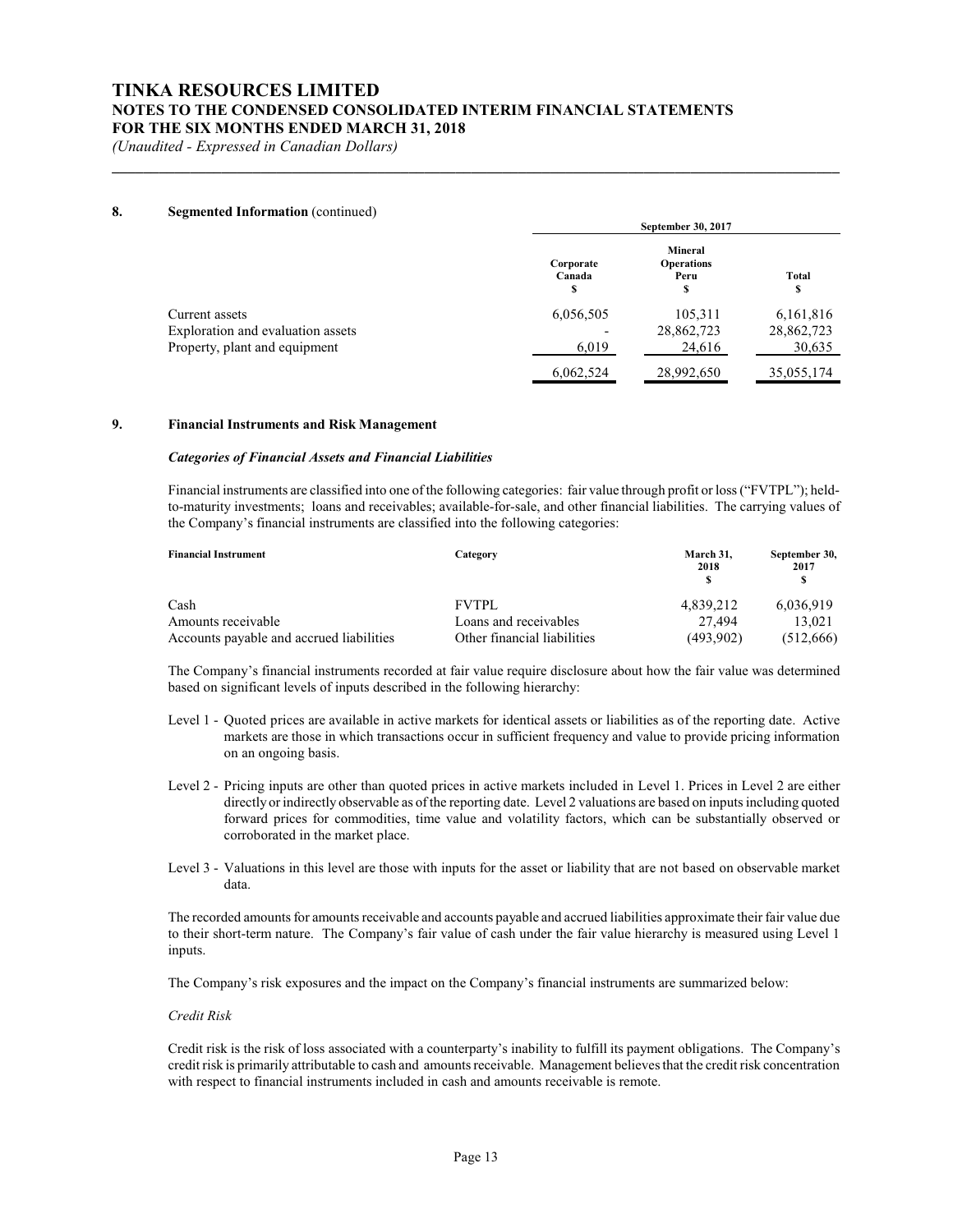*(Unaudited - Expressed in Canadian Dollars)*

| $\alpha$                          |                          | September 30, 2017                         |                    |
|-----------------------------------|--------------------------|--------------------------------------------|--------------------|
|                                   | Corporate<br>Canada<br>S | Mineral<br><b>Operations</b><br>Peru<br>\$ | <b>Total</b><br>\$ |
| Current assets                    | 6,056,505                | 105,311                                    | 6,161,816          |
| Exploration and evaluation assets |                          | 28,862,723                                 | 28,862,723         |
| Property, plant and equipment     | 6,019                    | 24,616                                     | 30,635             |
|                                   | 6,062,524                | 28,992,650                                 | 35,055,174         |

**\_\_\_\_\_\_\_\_\_\_\_\_\_\_\_\_\_\_\_\_\_\_\_\_\_\_\_\_\_\_\_\_\_\_\_\_\_\_\_\_\_\_\_\_\_\_\_\_\_\_\_\_\_\_\_\_\_\_\_\_\_\_\_\_\_\_\_\_\_\_\_\_\_\_\_\_\_\_\_\_\_\_\_\_\_\_\_\_\_\_\_\_\_**

### **8. Segmented Information** (continued)

#### **9. Financial Instruments and Risk Management**

#### *Categories of Financial Assets and Financial Liabilities*

Financial instruments are classified into one of the following categories: fair value through profit or loss ("FVTPL"); heldto-maturity investments; loans and receivables; available-for-sale, and other financial liabilities. The carrying values of the Company's financial instruments are classified into the following categories:

| <b>Financial Instrument</b>              | Category                    | March 31,<br>2018 | September 30,<br>2017 |
|------------------------------------------|-----------------------------|-------------------|-----------------------|
| Cash                                     | <b>FVTPL</b>                | 4.839.212         | 6.036.919             |
| Amounts receivable                       | Loans and receivables       | 27.494            | 13.021                |
| Accounts payable and accrued liabilities | Other financial liabilities | (493.902)         | (512,666)             |

The Company's financial instruments recorded at fair value require disclosure about how the fair value was determined based on significant levels of inputs described in the following hierarchy:

- Level 1 Quoted prices are available in active markets for identical assets or liabilities as of the reporting date. Active markets are those in which transactions occur in sufficient frequency and value to provide pricing information on an ongoing basis.
- Level 2 Pricing inputs are other than quoted prices in active markets included in Level 1. Prices in Level 2 are either directly or indirectly observable as of the reporting date. Level 2 valuations are based on inputs including quoted forward prices for commodities, time value and volatility factors, which can be substantially observed or corroborated in the market place.
- Level 3 Valuations in this level are those with inputs for the asset or liability that are not based on observable market data.

The recorded amounts for amounts receivable and accounts payable and accrued liabilities approximate their fair value due to their short-term nature. The Company's fair value of cash under the fair value hierarchy is measured using Level 1 inputs.

The Company's risk exposures and the impact on the Company's financial instruments are summarized below:

#### *Credit Risk*

Credit risk is the risk of loss associated with a counterparty's inability to fulfill its payment obligations. The Company's credit risk is primarily attributable to cash and amounts receivable. Management believes that the credit risk concentration with respect to financial instruments included in cash and amounts receivable is remote.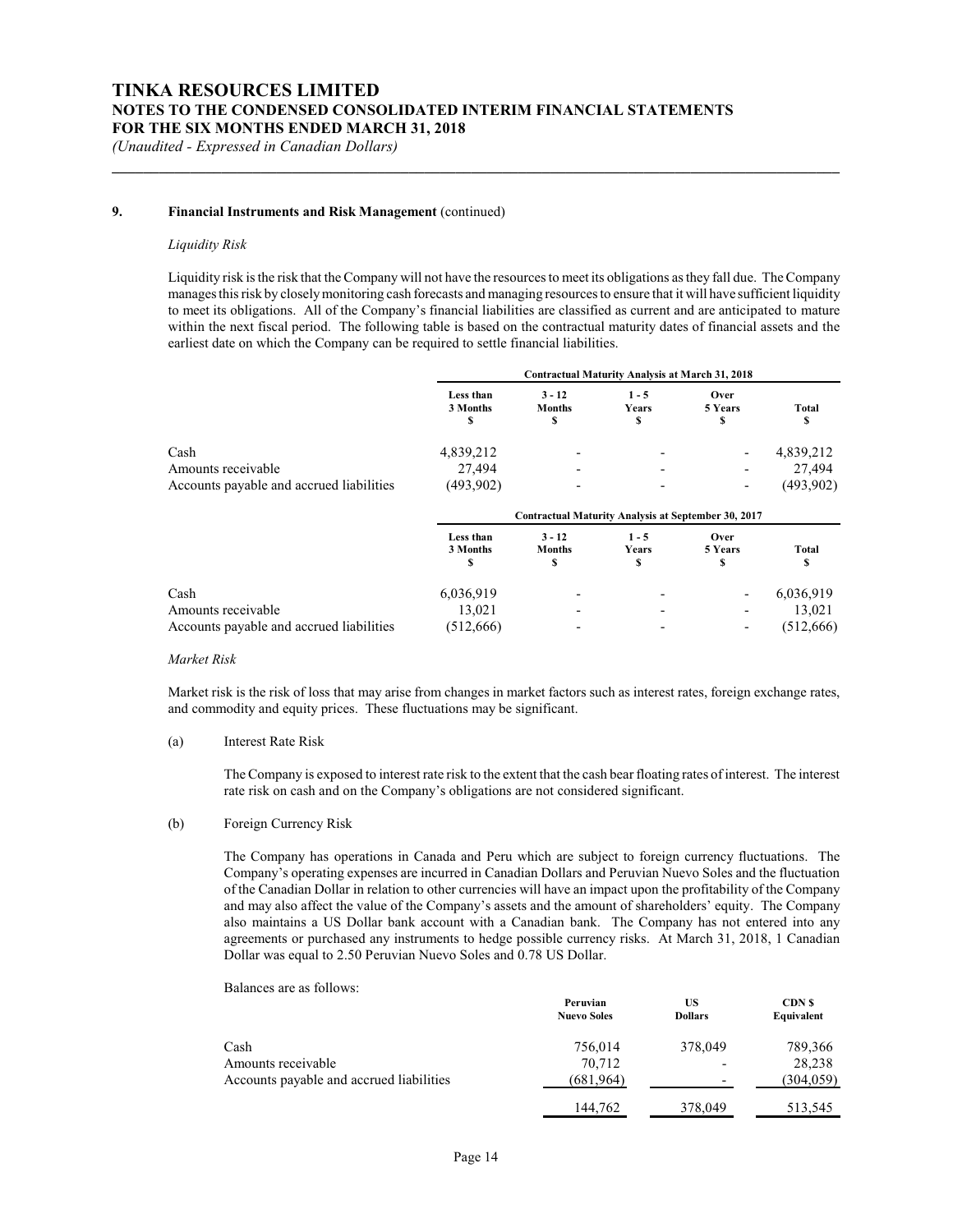*(Unaudited - Expressed in Canadian Dollars)*

#### **9. Financial Instruments and Risk Management** (continued)

#### *Liquidity Risk*

Liquidity risk is the risk that the Company will not have the resources to meet its obligations as they fall due. The Company manages this risk by closelymonitoring cash forecasts and managing resources to ensure that it will have sufficient liquidity to meet its obligations. All of the Company's financial liabilities are classified as current and are anticipated to mature within the next fiscal period. The following table is based on the contractual maturity dates of financial assets and the earliest date on which the Company can be required to settle financial liabilities.

**\_\_\_\_\_\_\_\_\_\_\_\_\_\_\_\_\_\_\_\_\_\_\_\_\_\_\_\_\_\_\_\_\_\_\_\_\_\_\_\_\_\_\_\_\_\_\_\_\_\_\_\_\_\_\_\_\_\_\_\_\_\_\_\_\_\_\_\_\_\_\_\_\_\_\_\_\_\_\_\_\_\_\_\_\_\_\_\_\_\_\_\_\_**

|                                          |                             |                                                     | <b>Contractual Maturity Analysis at March 31, 2018</b> |                          |                    |
|------------------------------------------|-----------------------------|-----------------------------------------------------|--------------------------------------------------------|--------------------------|--------------------|
|                                          | Less than<br>3 Months<br>\$ | $3 - 12$<br><b>Months</b><br>\$                     | $1 - 5$<br>Years<br>S                                  | Over<br>5 Years<br>S     | Total              |
| Cash                                     | 4,839,212                   |                                                     |                                                        | $\overline{\phantom{a}}$ | 4,839,212          |
| Amounts receivable                       | 27,494                      |                                                     |                                                        | $\overline{\phantom{a}}$ | 27,494             |
| Accounts payable and accrued liabilities | (493,902)                   |                                                     |                                                        | -                        | (493,902)          |
|                                          |                             | Contractual Maturity Analysis at September 30, 2017 |                                                        |                          |                    |
|                                          | Less than<br>3 Months<br>\$ | $3 - 12$<br><b>Months</b><br>\$                     | $1 - 5$<br>Years<br>S                                  | Over<br>5 Years<br>S     | <b>Total</b><br>\$ |
| Cash                                     | 6,036,919                   |                                                     |                                                        | $\overline{\phantom{a}}$ | 6,036,919          |

#### *Market Risk*

Market risk is the risk of loss that may arise from changes in market factors such as interest rates, foreign exchange rates, and commodity and equity prices. These fluctuations may be significant.

Amounts receivable 13,021 - - - 13,021 - 13,021 Accounts payable and accrued liabilities (512,666) - - - - - (512,666)

#### (a) Interest Rate Risk

The Company is exposed to interest rate risk to the extent that the cash bear floating rates of interest. The interest rate risk on cash and on the Company's obligations are not considered significant.

#### (b) Foreign Currency Risk

The Company has operations in Canada and Peru which are subject to foreign currency fluctuations. The Company's operating expenses are incurred in Canadian Dollars and Peruvian Nuevo Soles and the fluctuation of the Canadian Dollar in relation to other currencies will have an impact upon the profitability of the Company and may also affect the value of the Company's assets and the amount of shareholders' equity. The Company also maintains a US Dollar bank account with a Canadian bank. The Company has not entered into any agreements or purchased any instruments to hedge possible currency risks. At March 31, 2018, 1 Canadian Dollar was equal to 2.50 Peruvian Nuevo Soles and 0.78 US Dollar.

#### Balances are as follows:

|                                          | Peruvian<br><b>Nuevo Soles</b> | US<br><b>Dollars</b>     | CDN <sub>S</sub><br>Equivalent |
|------------------------------------------|--------------------------------|--------------------------|--------------------------------|
| Cash                                     | 756,014                        | 378,049                  | 789,366                        |
| Amounts receivable                       | 70.712                         | $\overline{\phantom{a}}$ | 28,238                         |
| Accounts payable and accrued liabilities | (681.964)                      | $\overline{\phantom{0}}$ | (304, 059)                     |
|                                          | 144,762                        | 378,049                  | 513,545                        |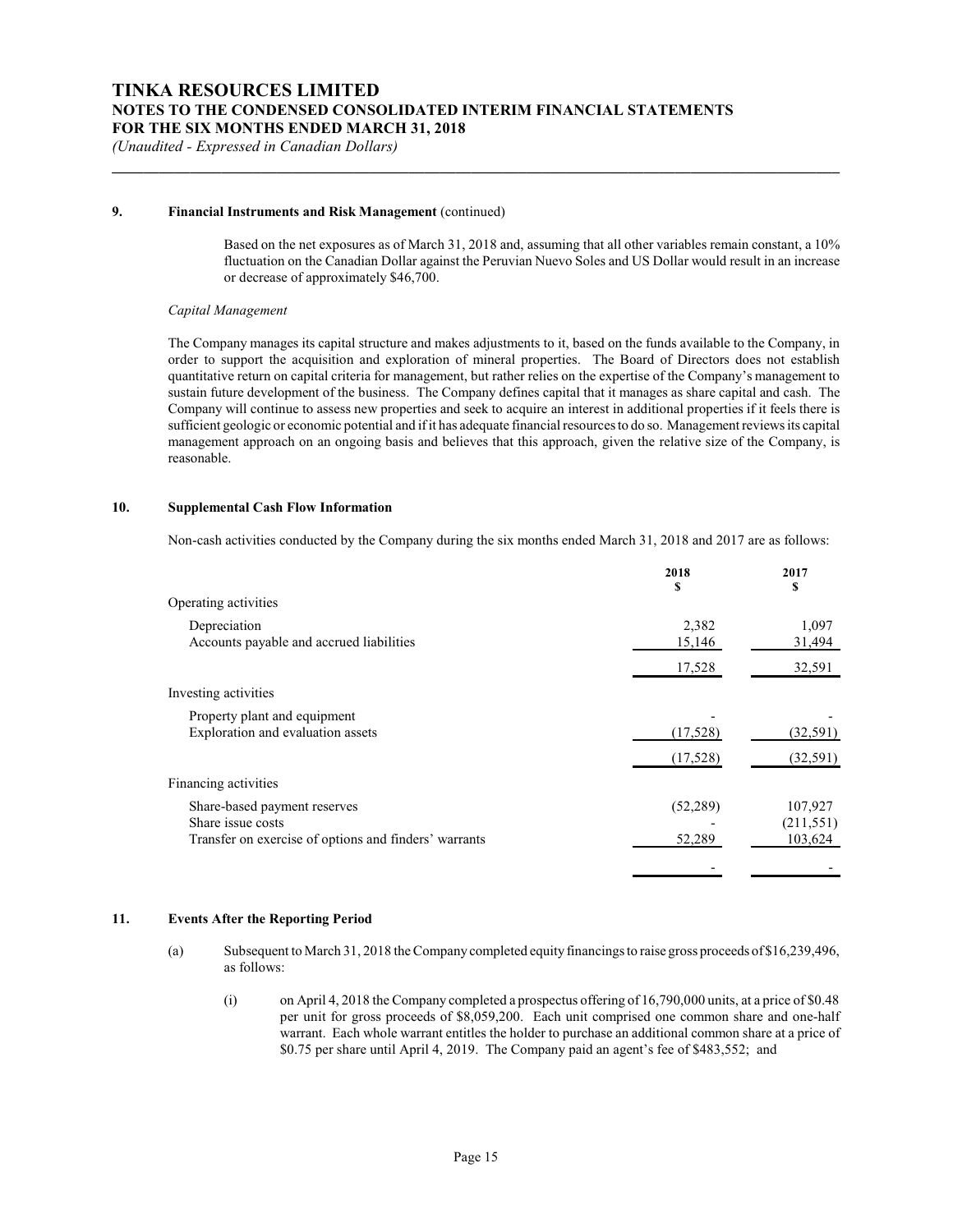**\_\_\_\_\_\_\_\_\_\_\_\_\_\_\_\_\_\_\_\_\_\_\_\_\_\_\_\_\_\_\_\_\_\_\_\_\_\_\_\_\_\_\_\_\_\_\_\_\_\_\_\_\_\_\_\_\_\_\_\_\_\_\_\_\_\_\_\_\_\_\_\_\_\_\_\_\_\_\_\_\_\_\_\_\_\_\_\_\_\_\_\_\_**

*(Unaudited - Expressed in Canadian Dollars)*

#### **9. Financial Instruments and Risk Management** (continued)

Based on the net exposures as of March 31, 2018 and, assuming that all other variables remain constant, a 10% fluctuation on the Canadian Dollar against the Peruvian Nuevo Soles and US Dollar would result in an increase or decrease of approximately \$46,700.

#### *Capital Management*

The Company manages its capital structure and makes adjustments to it, based on the funds available to the Company, in order to support the acquisition and exploration of mineral properties. The Board of Directors does not establish quantitative return on capital criteria for management, but rather relies on the expertise of the Company's management to sustain future development of the business. The Company defines capital that it manages as share capital and cash. The Company will continue to assess new properties and seek to acquire an interest in additional properties if it feels there is sufficient geologic or economic potential and if it has adequate financial resources to do so. Management reviews its capital management approach on an ongoing basis and believes that this approach, given the relative size of the Company, is reasonable.

## **10. Supplemental Cash Flow Information**

Non-cash activities conducted by the Company during the six months ended March 31, 2018 and 2017 are as follows:

|                                                       | 2018      | 2017       |
|-------------------------------------------------------|-----------|------------|
|                                                       | \$        | \$         |
| Operating activities                                  |           |            |
| Depreciation                                          | 2,382     | 1,097      |
| Accounts payable and accrued liabilities              | 15,146    | 31,494     |
|                                                       | 17,528    | 32,591     |
| Investing activities                                  |           |            |
| Property plant and equipment                          |           |            |
| Exploration and evaluation assets                     | (17,528)  | (32, 591)  |
|                                                       | (17,528)  | (32, 591)  |
| Financing activities                                  |           |            |
| Share-based payment reserves                          | (52, 289) | 107,927    |
| Share issue costs                                     |           | (211, 551) |
| Transfer on exercise of options and finders' warrants | 52,289    | 103,624    |
|                                                       |           |            |

#### **11. Events After the Reporting Period**

- (a) Subsequent to March 31, 2018 the Company completed equityfinancings to raise gross proceeds of \$16,239,496, as follows:
	- (i) on April 4, 2018 the Company completed a prospectus offering of 16,790,000 units, at a price of \$0.48 per unit for gross proceeds of \$8,059,200. Each unit comprised one common share and one-half warrant. Each whole warrant entitles the holder to purchase an additional common share at a price of \$0.75 per share until April 4, 2019. The Company paid an agent's fee of \$483,552; and